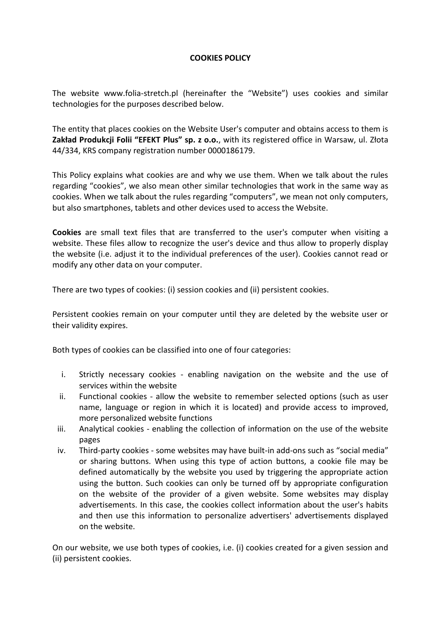## **COOKIES POLICY**

The website www.folia-stretch.pl (hereinafter the "Website") uses cookies and similar technologies for the purposes described below.

The entity that places cookies on the Website User's computer and obtains access to them is **Zakład Produkcji Folii "EFEKT Plus" sp. z o.o.**, with its registered office in Warsaw, ul. Złota 44/334, KRS company registration number 0000186179.

This Policy explains what cookies are and why we use them. When we talk about the rules regarding "cookies", we also mean other similar technologies that work in the same way as cookies. When we talk about the rules regarding "computers", we mean not only computers, but also smartphones, tablets and other devices used to access the Website.

**Cookies** are small text files that are transferred to the user's computer when visiting a website. These files allow to recognize the user's device and thus allow to properly display the website (i.e. adjust it to the individual preferences of the user). Cookies cannot read or modify any other data on your computer.

There are two types of cookies: (i) session cookies and (ii) persistent cookies.

Persistent cookies remain on your computer until they are deleted by the website user or their validity expires.

Both types of cookies can be classified into one of four categories:

- i. Strictly necessary cookies enabling navigation on the website and the use of services within the website
- ii. Functional cookies allow the website to remember selected options (such as user name, language or region in which it is located) and provide access to improved, more personalized website functions
- iii. Analytical cookies enabling the collection of information on the use of the website pages
- iv. Third-party cookies some websites may have built-in add-ons such as "social media" or sharing buttons. When using this type of action buttons, a cookie file may be defined automatically by the website you used by triggering the appropriate action using the button. Such cookies can only be turned off by appropriate configuration on the website of the provider of a given website. Some websites may display advertisements. In this case, the cookies collect information about the user's habits and then use this information to personalize advertisers' advertisements displayed on the website.

On our website, we use both types of cookies, i.e. (i) cookies created for a given session and (ii) persistent cookies.